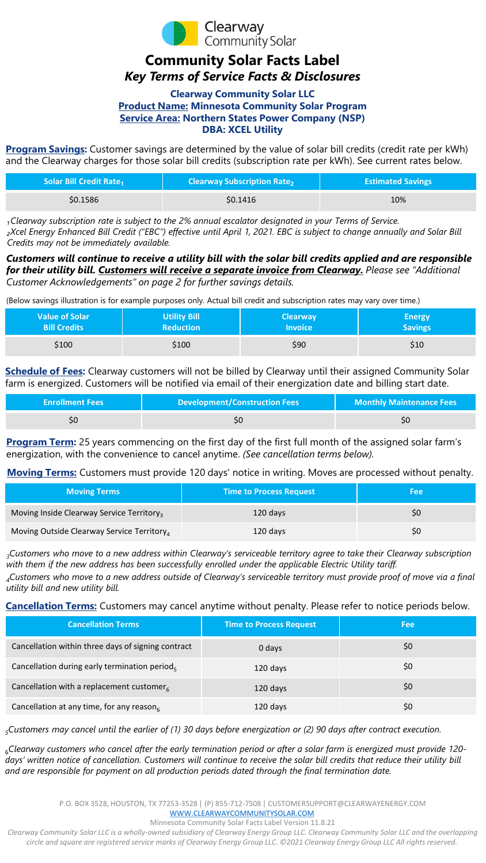

# **Community Solar Facts Label** *Key Terms of Service Facts & Disclosures*

#### **Clearway Community Solar LLC Product Name: Minnesota Community Solar Program Service Area: Northern States Power Company (NSP) DBA: XCEL Utility**

**Program Savings:** Customer savings are determined by the value of solar bill credits (credit rate per kWh) and the Clearway charges for those solar bill credits (subscription rate per kWh). See current rates below.

| <b>Solar Bill Credit Rate</b> <sub>1</sub> | <b>Clearway Subscription Rate<sub>2</sub></b> | <b>Estimated Savings</b> |
|--------------------------------------------|-----------------------------------------------|--------------------------|
| \$0.1586                                   | \$0.1416                                      | 10%                      |

*₁Clearway subscription rate is subject to the 2% annual escalator designated in your Terms of Service. ₂Xcel Energy Enhanced Bill Credit ("EBC") effective until April 1, 2021. EBC is subject to change annually and Solar Bill Credits may not be immediately available.* 

## *Customers will continue to receive a utility bill with the solar bill credits applied and are responsible for their utility bill. Customers will receive a separate invoice from Clearway. Please see "Additional Customer Acknowledgements" on page 2 for further savings details.*

(Below savings illustration is for example purposes only. Actual bill credit and subscription rates may vary over time.)

| Value of Solar <b>\</b> | <b>Utility Bill</b> | <b>Clearway</b> | Energy         |
|-------------------------|---------------------|-----------------|----------------|
| <b>Bill Credits</b>     | <b>Reduction</b>    | <b>Invoice</b>  | <b>Savings</b> |
| \$100                   | \$100               | \$90            | \$10           |

**Schedule of Fees:** Clearway customers will not be billed by Clearway until their assigned Community Solar farm is energized. Customers will be notified via email of their energization date and billing start date.

| <b>Enrollment Fees</b> | <b>Development/Construction Fees</b> | <b>Monthly Maintenance Fees</b> |
|------------------------|--------------------------------------|---------------------------------|
|                        |                                      |                                 |

**Program Term:** 25 years commencing on the first day of the first full month of the assigned solar farm's energization, with the convenience to cancel anytime. *(See cancellation terms below).*

**Moving Terms:** Customers must provide 120 days' notice in writing. Moves are processed without penalty.

| <b>Moving Terms</b>                                   | <b>Time to Process Request</b> | Feel |
|-------------------------------------------------------|--------------------------------|------|
| Moving Inside Clearway Service Territory <sub>3</sub> | $120$ days                     | SÜ   |
| Moving Outside Clearway Service Territory             | 120 days                       | SÜ   |

*3Customers who move to a new address within Clearway's serviceable territory agree to take their Clearway subscription with them if the new address has been successfully enrolled under the applicable Electric Utility tariff.*

*4Customers who move to a new address outside of Clearway's serviceable territory must provide proof of move via a final utility bill and new utility bill.* 

**Cancellation Terms:** Customers may cancel anytime without penalty. Please refer to notice periods below.

| <b>Cancellation Terms</b>                             | <b>Time to Process Request</b> | <b>Fee</b> |
|-------------------------------------------------------|--------------------------------|------------|
| Cancellation within three days of signing contract    | 0 days                         | \$0        |
| Cancellation during early termination period,         | 120 days                       | \$0        |
| Cancellation with a replacement customer <sub>6</sub> | 120 days                       | \$0        |
| Cancellation at any time, for any reason <sub>6</sub> | 120 days                       | \$0        |

*5Customers may cancel until the earlier of (1) 30 days before energization or (2) 90 days after contract execution.* 

<sup>6</sup>*Clearway customers who cancel after the early termination period or after a solar farm is energized must provide 120* days' written notice of cancellation. Customers will continue to receive the solar bill credits that reduce their utility bill *and are responsible for payment on all production periods dated through the final termination date.* 

Minnesota Community Solar Facts Label Version 11.8.21

*Clearway Community Solar LLC is a wholly-owned subsidiary of Clearway Energy Group LLC. Clearway Community Solar LLC and the overlapping circle and square are registered service marks of Clearway Energy Group LLC. ©2021 Clearway Energy Group LLC All rights reserved.*